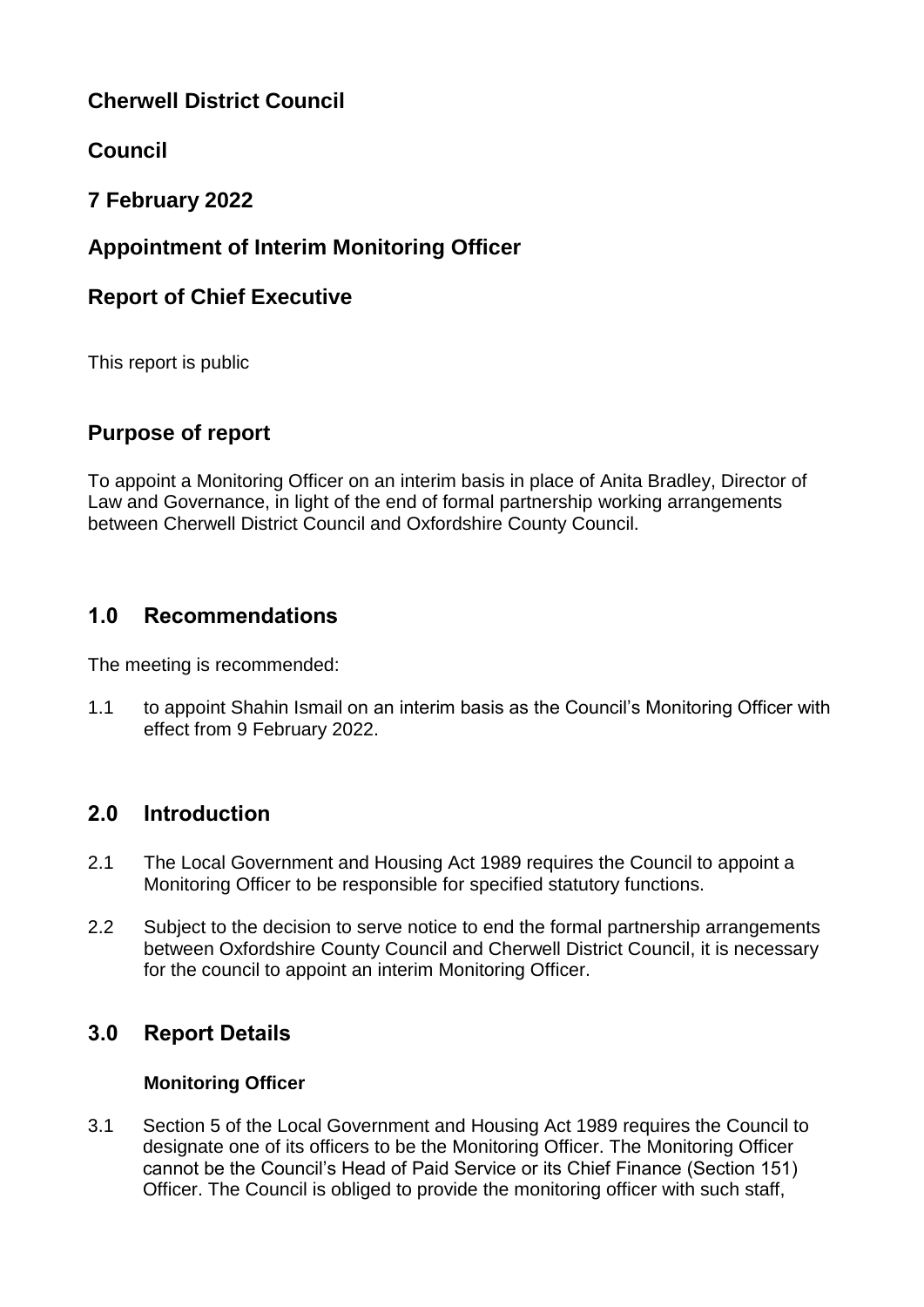# **Cherwell District Council**

# **Council**

# **7 February 2022**

# **Appointment of Interim Monitoring Officer**

## **Report of Chief Executive**

This report is public

## **Purpose of report**

To appoint a Monitoring Officer on an interim basis in place of Anita Bradley, Director of Law and Governance, in light of the end of formal partnership working arrangements between Cherwell District Council and Oxfordshire County Council.

## **1.0 Recommendations**

The meeting is recommended:

1.1 to appoint Shahin Ismail on an interim basis as the Council's Monitoring Officer with effect from 9 February 2022.

# **2.0 Introduction**

- 2.1 The Local Government and Housing Act 1989 requires the Council to appoint a Monitoring Officer to be responsible for specified statutory functions.
- 2.2 Subject to the decision to serve notice to end the formal partnership arrangements between Oxfordshire County Council and Cherwell District Council, it is necessary for the council to appoint an interim Monitoring Officer.

# **3.0 Report Details**

### **Monitoring Officer**

3.1 Section 5 of the Local Government and Housing Act 1989 requires the Council to designate one of its officers to be the Monitoring Officer. The Monitoring Officer cannot be the Council's Head of Paid Service or its Chief Finance (Section 151) Officer. The Council is obliged to provide the monitoring officer with such staff,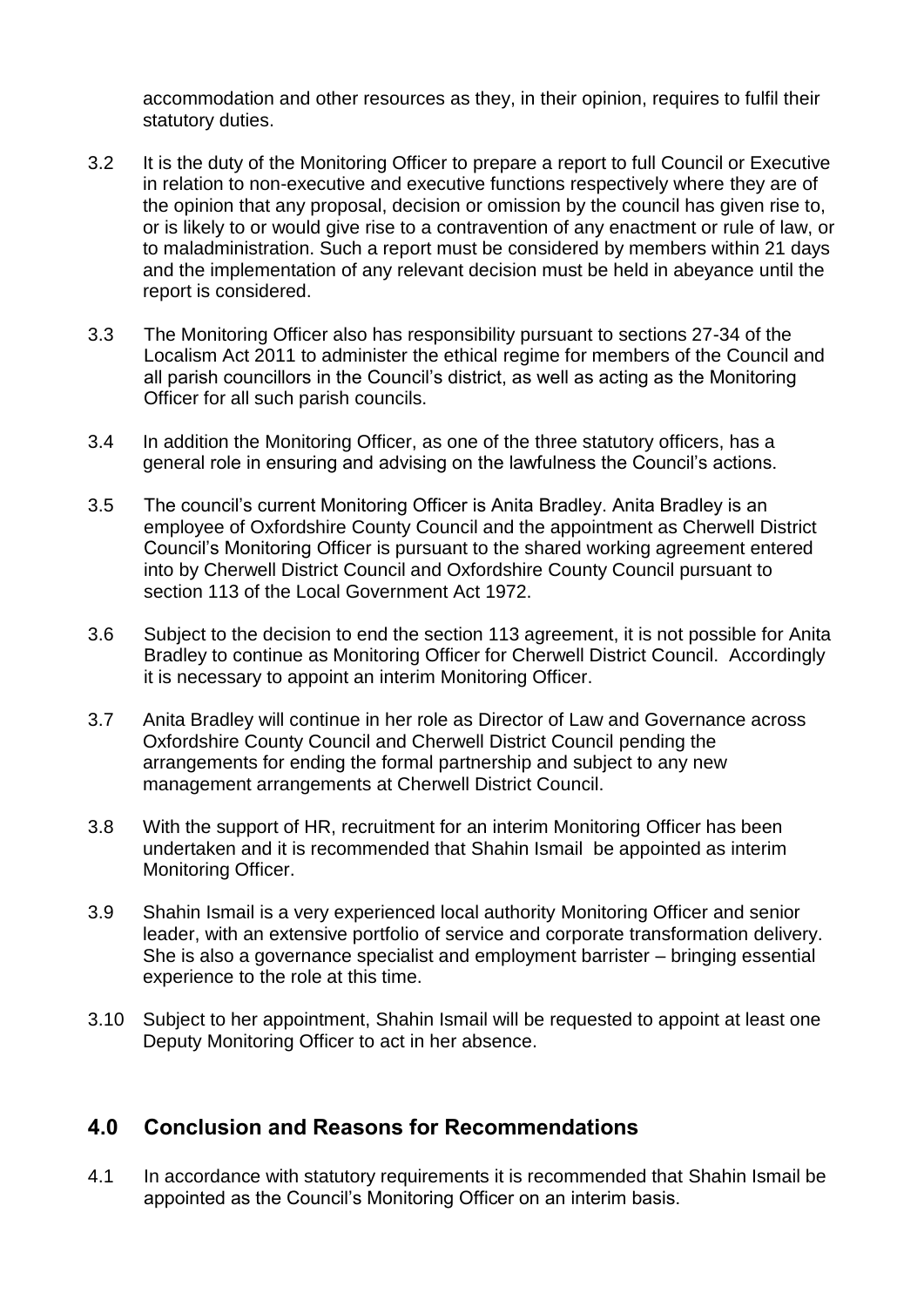accommodation and other resources as they, in their opinion, requires to fulfil their statutory duties.

- 3.2 It is the duty of the Monitoring Officer to prepare a report to full Council or Executive in relation to non-executive and executive functions respectively where they are of the opinion that any proposal, decision or omission by the council has given rise to, or is likely to or would give rise to a contravention of any enactment or rule of law, or to maladministration. Such a report must be considered by members within 21 days and the implementation of any relevant decision must be held in abeyance until the report is considered.
- 3.3 The Monitoring Officer also has responsibility pursuant to sections 27-34 of the Localism Act 2011 to administer the ethical regime for members of the Council and all parish councillors in the Council's district, as well as acting as the Monitoring Officer for all such parish councils.
- 3.4 In addition the Monitoring Officer, as one of the three statutory officers, has a general role in ensuring and advising on the lawfulness the Council's actions.
- 3.5 The council's current Monitoring Officer is Anita Bradley. Anita Bradley is an employee of Oxfordshire County Council and the appointment as Cherwell District Council's Monitoring Officer is pursuant to the shared working agreement entered into by Cherwell District Council and Oxfordshire County Council pursuant to section 113 of the Local Government Act 1972.
- 3.6 Subject to the decision to end the section 113 agreement, it is not possible for Anita Bradley to continue as Monitoring Officer for Cherwell District Council. Accordingly it is necessary to appoint an interim Monitoring Officer.
- 3.7 Anita Bradley will continue in her role as Director of Law and Governance across Oxfordshire County Council and Cherwell District Council pending the arrangements for ending the formal partnership and subject to any new management arrangements at Cherwell District Council.
- 3.8 With the support of HR, recruitment for an interim Monitoring Officer has been undertaken and it is recommended that Shahin Ismail be appointed as interim Monitoring Officer.
- 3.9 Shahin Ismail is a very experienced local authority Monitoring Officer and senior leader, with an extensive portfolio of service and corporate transformation delivery. She is also a governance specialist and employment barrister – bringing essential experience to the role at this time.
- 3.10 Subject to her appointment, Shahin Ismail will be requested to appoint at least one Deputy Monitoring Officer to act in her absence.

### **4.0 Conclusion and Reasons for Recommendations**

4.1 In accordance with statutory requirements it is recommended that Shahin Ismail be appointed as the Council's Monitoring Officer on an interim basis.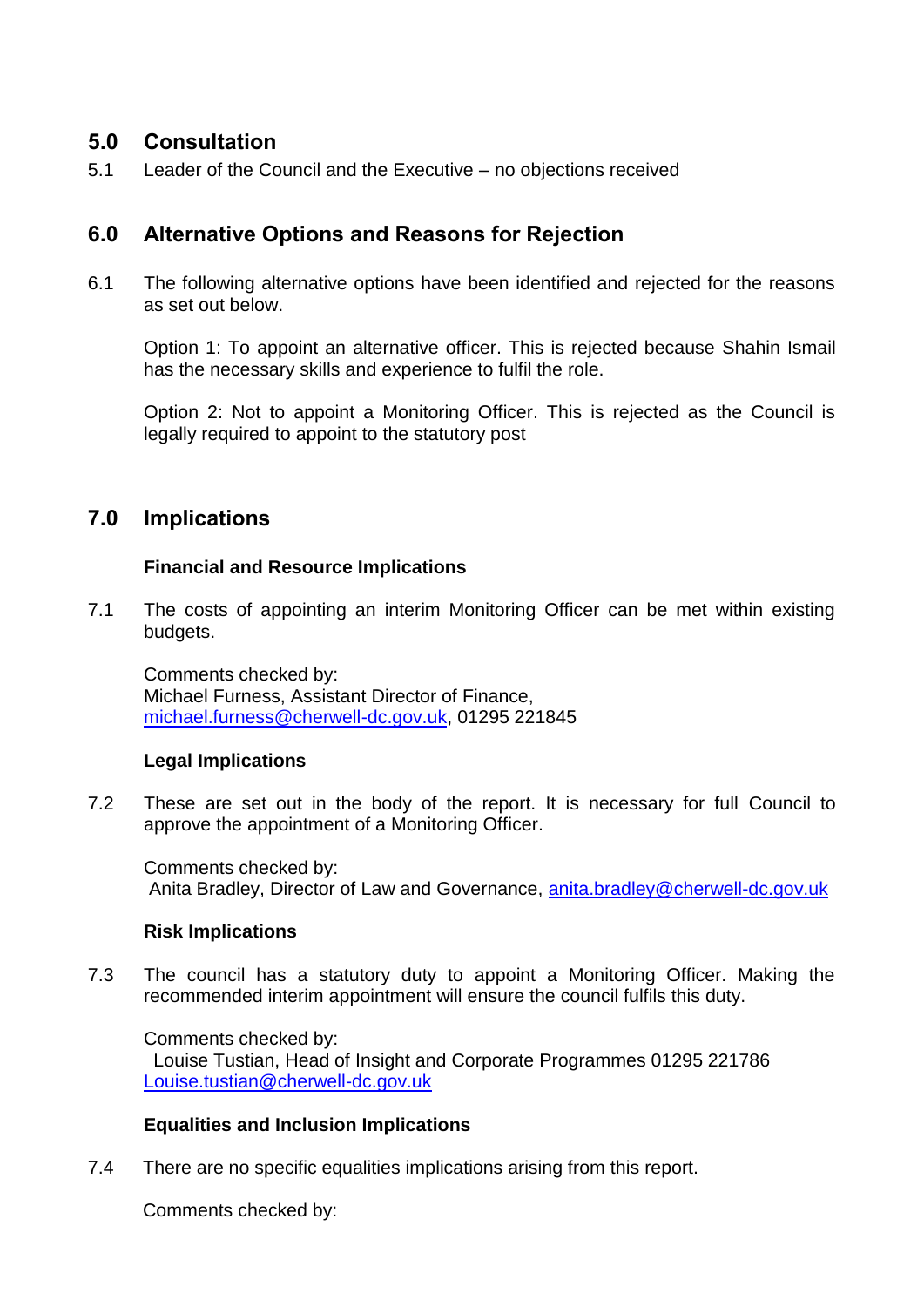## **5.0 Consultation**

5.1 Leader of the Council and the Executive – no objections received

## **6.0 Alternative Options and Reasons for Rejection**

6.1 The following alternative options have been identified and rejected for the reasons as set out below.

Option 1: To appoint an alternative officer. This is rejected because Shahin Ismail has the necessary skills and experience to fulfil the role.

Option 2: Not to appoint a Monitoring Officer. This is rejected as the Council is legally required to appoint to the statutory post

## **7.0 Implications**

#### **Financial and Resource Implications**

7.1 The costs of appointing an interim Monitoring Officer can be met within existing budgets.

Comments checked by: Michael Furness, Assistant Director of Finance, [michael.furness@cherwell-dc.gov.uk,](mailto:michael.furness@cherwell-dc.gov.uk) 01295 221845

#### **Legal Implications**

7.2 These are set out in the body of the report. It is necessary for full Council to approve the appointment of a Monitoring Officer.

Comments checked by: Anita Bradley, Director of Law and Governance, [anita.bradley@cherwell-dc.gov.uk](mailto:anita.bradley@cherwell-dc.gov.uk)

#### **Risk Implications**

7.3 The council has a statutory duty to appoint a Monitoring Officer. Making the recommended interim appointment will ensure the council fulfils this duty.

Comments checked by: Louise Tustian, Head of Insight and Corporate Programmes 01295 221786 [Louise.tustian@cherwell-dc.gov.uk](mailto:Louise.tustian@cherwell-dc.gov.uk)

#### **Equalities and Inclusion Implications**

7.4 There are no specific equalities implications arising from this report.

Comments checked by: